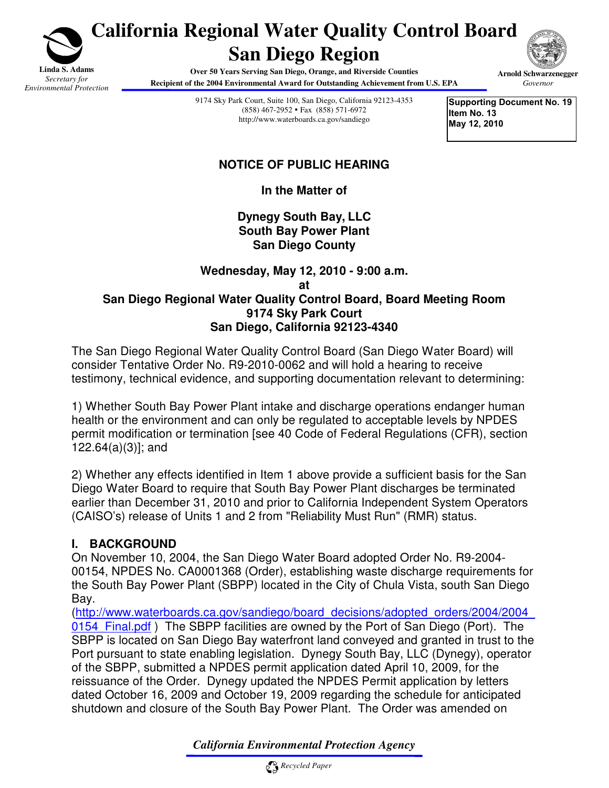

# **California Regional Water Quality Control Board San Diego Region**

**Over 50 Years Serving San Diego, Orange, and Riverside Counties Recipient of the 2004 Environmental Award for Outstanding Achievement from U.S. EPA** 



**Arnold Schwarzenegger**  *Governor*

9174 Sky Park Court, Suite 100, San Diego, California 92123-4353 (858) 467-2952 Fax (858) 571-6972 http://www.waterboards.ca.gov/sandiego

**Supporting Document No. 19 Item No. 13 May 12, 2010** 

## **NOTICE OF PUBLIC HEARING**

**In the Matter of** 

**Dynegy South Bay, LLC South Bay Power Plant San Diego County**

#### **Wednesday, May 12, 2010 - 9:00 a.m. at San Diego Regional Water Quality Control Board, Board Meeting Room 9174 Sky Park Court San Diego, California 92123-4340**

The San Diego Regional Water Quality Control Board (San Diego Water Board) will consider Tentative Order No. R9-2010-0062 and will hold a hearing to receive testimony, technical evidence, and supporting documentation relevant to determining:

1) Whether South Bay Power Plant intake and discharge operations endanger human health or the environment and can only be regulated to acceptable levels by NPDES permit modification or termination [see 40 Code of Federal Regulations (CFR), section 122.64(a)(3)]; and

2) Whether any effects identified in Item 1 above provide a sufficient basis for the San Diego Water Board to require that South Bay Power Plant discharges be terminated earlier than December 31, 2010 and prior to California Independent System Operators (CAISO's) release of Units 1 and 2 from "Reliability Must Run" (RMR) status.

# **I. BACKGROUND**

On November 10, 2004, the San Diego Water Board adopted Order No. R9-2004- 00154, NPDES No. CA0001368 (Order), establishing waste discharge requirements for the South Bay Power Plant (SBPP) located in the City of Chula Vista, south San Diego Bay.

(http://www.waterboards.ca.gov/sandiego/board\_decisions/adopted\_orders/2004/2004\_ 0154 Final.pdf ) The SBPP facilities are owned by the Port of San Diego (Port). The SBPP is located on San Diego Bay waterfront land conveyed and granted in trust to the Port pursuant to state enabling legislation. Dynegy South Bay, LLC (Dynegy), operator of the SBPP, submitted a NPDES permit application dated April 10, 2009, for the reissuance of the Order. Dynegy updated the NPDES Permit application by letters dated October 16, 2009 and October 19, 2009 regarding the schedule for anticipated shutdown and closure of the South Bay Power Plant. The Order was amended on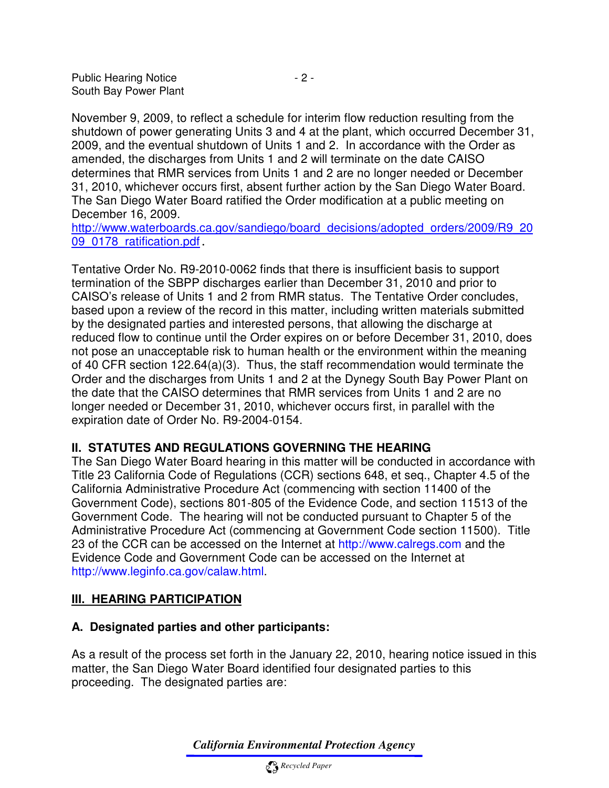Public Hearing Notice  $-2 -$ South Bay Power Plant

November 9, 2009, to reflect a schedule for interim flow reduction resulting from the shutdown of power generating Units 3 and 4 at the plant, which occurred December 31, 2009, and the eventual shutdown of Units 1 and 2. In accordance with the Order as amended, the discharges from Units 1 and 2 will terminate on the date CAISO determines that RMR services from Units 1 and 2 are no longer needed or December 31, 2010, whichever occurs first, absent further action by the San Diego Water Board. The San Diego Water Board ratified the Order modification at a public meeting on December 16, 2009.

http://www.waterboards.ca.gov/sandiego/board\_decisions/adopted\_orders/2009/R9\_20 09<sup>0178</sup> ratification.pdf.

Tentative Order No. R9-2010-0062 finds that there is insufficient basis to support termination of the SBPP discharges earlier than December 31, 2010 and prior to CAISO's release of Units 1 and 2 from RMR status. The Tentative Order concludes, based upon a review of the record in this matter, including written materials submitted by the designated parties and interested persons, that allowing the discharge at reduced flow to continue until the Order expires on or before December 31, 2010, does not pose an unacceptable risk to human health or the environment within the meaning of 40 CFR section 122.64(a)(3). Thus, the staff recommendation would terminate the Order and the discharges from Units 1 and 2 at the Dynegy South Bay Power Plant on the date that the CAISO determines that RMR services from Units 1 and 2 are no longer needed or December 31, 2010, whichever occurs first, in parallel with the expiration date of Order No. R9-2004-0154.

#### **II. STATUTES AND REGULATIONS GOVERNING THE HEARING**

The San Diego Water Board hearing in this matter will be conducted in accordance with Title 23 California Code of Regulations (CCR) sections 648, et seq., Chapter 4.5 of the California Administrative Procedure Act (commencing with section 11400 of the Government Code), sections 801-805 of the Evidence Code, and section 11513 of the Government Code. The hearing will not be conducted pursuant to Chapter 5 of the Administrative Procedure Act (commencing at Government Code section 11500). Title 23 of the CCR can be accessed on the Internet at http://www.calregs.com and the Evidence Code and Government Code can be accessed on the Internet at http://www.leginfo.ca.gov/calaw.html.

#### **III. HEARING PARTICIPATION**

#### **A. Designated parties and other participants:**

As a result of the process set forth in the January 22, 2010, hearing notice issued in this matter, the San Diego Water Board identified four designated parties to this proceeding. The designated parties are: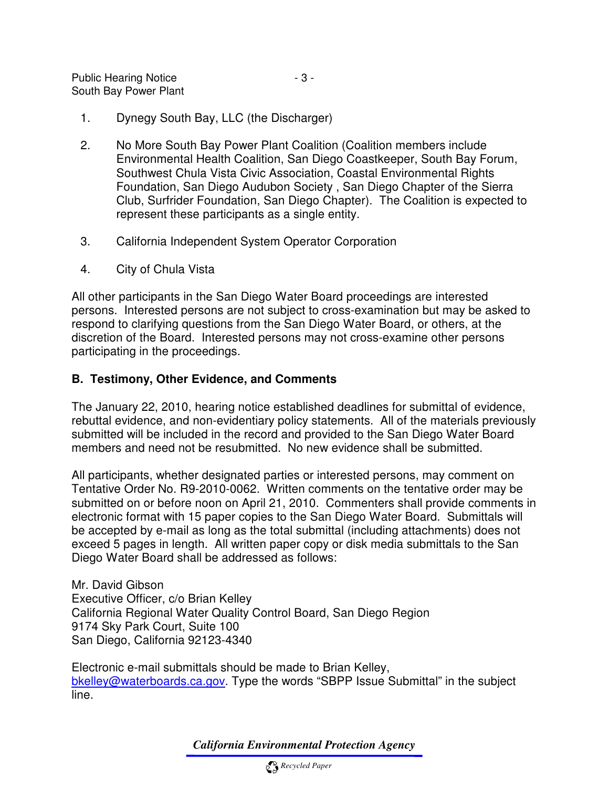- 1. Dynegy South Bay, LLC (the Discharger)
- 2. No More South Bay Power Plant Coalition (Coalition members include Environmental Health Coalition, San Diego Coastkeeper, South Bay Forum, Southwest Chula Vista Civic Association, Coastal Environmental Rights Foundation, San Diego Audubon Society , San Diego Chapter of the Sierra Club, Surfrider Foundation, San Diego Chapter). The Coalition is expected to represent these participants as a single entity.
- 3. California Independent System Operator Corporation
- 4. City of Chula Vista

All other participants in the San Diego Water Board proceedings are interested persons. Interested persons are not subject to cross-examination but may be asked to respond to clarifying questions from the San Diego Water Board, or others, at the discretion of the Board. Interested persons may not cross-examine other persons participating in the proceedings.

## **B. Testimony, Other Evidence, and Comments**

The January 22, 2010, hearing notice established deadlines for submittal of evidence, rebuttal evidence, and non-evidentiary policy statements. All of the materials previously submitted will be included in the record and provided to the San Diego Water Board members and need not be resubmitted. No new evidence shall be submitted.

All participants, whether designated parties or interested persons, may comment on Tentative Order No. R9-2010-0062. Written comments on the tentative order may be submitted on or before noon on April 21, 2010. Commenters shall provide comments in electronic format with 15 paper copies to the San Diego Water Board. Submittals will be accepted by e-mail as long as the total submittal (including attachments) does not exceed 5 pages in length. All written paper copy or disk media submittals to the San Diego Water Board shall be addressed as follows:

Mr. David Gibson Executive Officer, c/o Brian Kelley California Regional Water Quality Control Board, San Diego Region 9174 Sky Park Court, Suite 100 San Diego, California 92123-4340

Electronic e-mail submittals should be made to Brian Kelley, bkelley@waterboards.ca.gov. Type the words "SBPP Issue Submittal" in the subject line.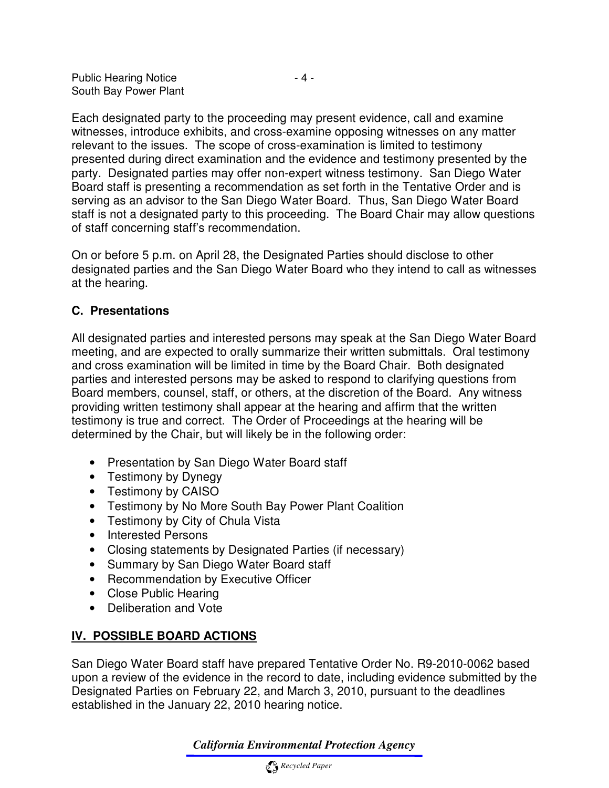Each designated party to the proceeding may present evidence, call and examine witnesses, introduce exhibits, and cross-examine opposing witnesses on any matter relevant to the issues. The scope of cross-examination is limited to testimony presented during direct examination and the evidence and testimony presented by the party. Designated parties may offer non-expert witness testimony. San Diego Water Board staff is presenting a recommendation as set forth in the Tentative Order and is serving as an advisor to the San Diego Water Board. Thus, San Diego Water Board staff is not a designated party to this proceeding. The Board Chair may allow questions of staff concerning staff's recommendation.

On or before 5 p.m. on April 28, the Designated Parties should disclose to other designated parties and the San Diego Water Board who they intend to call as witnesses at the hearing.

## **C. Presentations**

All designated parties and interested persons may speak at the San Diego Water Board meeting, and are expected to orally summarize their written submittals. Oral testimony and cross examination will be limited in time by the Board Chair. Both designated parties and interested persons may be asked to respond to clarifying questions from Board members, counsel, staff, or others, at the discretion of the Board. Any witness providing written testimony shall appear at the hearing and affirm that the written testimony is true and correct. The Order of Proceedings at the hearing will be determined by the Chair, but will likely be in the following order:

- Presentation by San Diego Water Board staff
- Testimony by Dynegy
- Testimony by CAISO
- Testimony by No More South Bay Power Plant Coalition
- Testimony by City of Chula Vista
- Interested Persons
- Closing statements by Designated Parties (if necessary)
- Summary by San Diego Water Board staff
- Recommendation by Executive Officer
- Close Public Hearing
- Deliberation and Vote

# **IV. POSSIBLE BOARD ACTIONS**

San Diego Water Board staff have prepared Tentative Order No. R9-2010-0062 based upon a review of the evidence in the record to date, including evidence submitted by the Designated Parties on February 22, and March 3, 2010, pursuant to the deadlines established in the January 22, 2010 hearing notice.